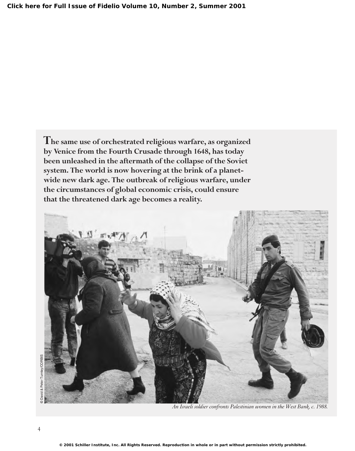**The same use of orchestrated religious warfare, as organized by Venice from the Fourth Crusade through 1648, has today been unleashed in the aftermath of the collapse of the Soviet system. The world is now hovering at the brink of a planetwide new dark age. The outbreak of religious warfare, under the circumstances of global economic crisis, could ensure that the threatened dark age becomes a reality.**

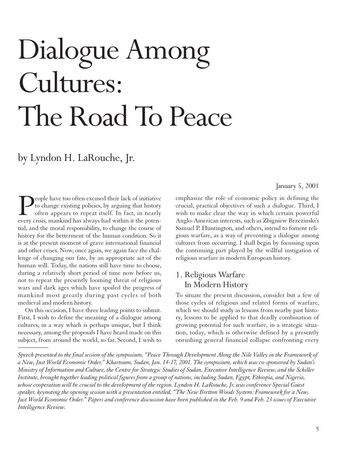# Dialogue Among Cultures: The Road To Peace

## by Lyndon H. LaRouche, Jr.

People have too often excused their lack of initiative<br>to change existing policies, by arguing that history<br>often appears to repeat itself. In fact, in nearly<br>every crisis, mankind has always had within it the potento change existing policies, by arguing that history often appears to repeat itself. In fact, in nearly every crisis, mankind has always had within it the potential, and the moral responsibility, to change the course of history for the betterment of the human condition. So it is at the present moment of grave international financial and other crises. Now, once again, we again face the challenge of changing our fate, by an appropriate act of the human will. Today, the nations still have time to choose, during a relatively short period of time now before us, not to repeat the presently looming threat of religious wars and dark ages which have spoiled the progress of mankind most greatly during past cycles of both medieval and modern history.

On this occasion, I have three leading points to submit. First, I wish to define the meaning of a dialogue among cultures, in a way which is perhaps unique, but I think necessary, among the proposals I have heard made on this subject, from around the world, so far. Second, I wish to *\_\_\_\_\_\_\_\_\_\_*

January 5, 2001

emphasize the role of economic policy in defining the crucial, practical objectives of such a dialogue. Third, I wish to make clear the way in which certain powerful Anglo-American interests, such as Zbigniew Brzezinski's Samuel P. Huntington, and others, intend to foment religious warfare, as a way of preventing a dialogue among cultures from occurring. I shall begin by focussing upon the continuing part played by the willful instigation of religious warfare in modern European history.

#### 1. Religious Warfare In Modern History

To situate the present discussion, consider but a few of those cycles of religious and related forms of warfare, which we should study as lessons from nearby past history, lessons to be applied to that deadly combination of growing potential for such warfare, in a strategic situation, today, which is otherwise defined by a presently onrushing general financial collapse confronting every

*Speech presented to the final session of the symposium, "Peace Through Development Along the Nile Valley in the Framework of a New, Just World Economic Order," Khartoum, Sudan, Jan. 14-17, 2001. The symposium, which was co-sponsored by Sudan's Ministry of Information and Culture, the Centre for Strategic Studies of Sudan, Executive Intelligence Review, and the Schiller Institute, brought together leading political figures from a group of nations, including Sudan, Egypt, Ethiopia, and Nigeria, whose cooperation will be crucial to the development of the region. Lyndon H. LaRouche, Jr. was conference Special Guest speaker, keynoting the opening session with a presentation entitled, "The New Bretton Woods System: Framework for a New, Just World Economic Order." Papers and conference discussion have been published in the Feb. 9 and Feb. 23 issues of Executive Intelligence Review.*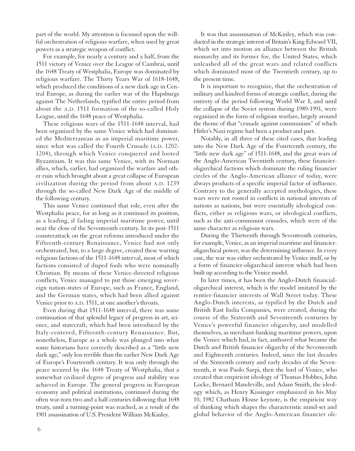part of the world. My attention is focussed upon the willful orchestration of religious warfare, when used by great powers as a strategic weapon of conflict.

For example, for nearly a century and a half, from the 1511 victory of Venice over the League of Cambrai, until the 1648 Treaty of Westphalia, Europe was dominated by religious warfare. The Thirty Years War of 1618-1648, which produced the conditions of a new dark age in Central Europe, as during the earlier war of the Hapsburgs against The Netherlands, typified the entire period from about the A.D. 1511 formation of the so-called Holy League, until the 1648 peace of Westphalia.

These religious wars of the 1511-1648 interval, had been organized by the same Venice which had dominated the Mediterranean as an imperial maritime power, since what was called the Fourth Crusade (A.D. 1202- 1204), through which Venice conquered and looted Byzantium. It was this same Venice, with its Norman allies, which, earlier, had organized the warfare and other ruin which brought about a great collapse of European civilization during the period from about A.D. 1239 through the so-called New Dark Age of the middle of the following century.

This same Venice continued that role, even after the Westphalia peace, for as long as it continued its position, as a leading, if fading imperial maritime power, until near the close of the Seventeenth century. In its post-1511 counterattack on the great reforms introduced under the Fifteenth-century Renaissance, Venice had not only orchestrated, but, to a large degree, created these warring religious factions of the 1511-1648 interval, most of which factions consisted of duped fools who were nominally Christian. By means of these Venice-directed religious conflicts, Venice managed to put those emerging sovereign nation-states of Europe, such as France, England, and the German states, which had been allied against Venice prior to A.D. 1511, at one another's throats.

Even during that 1511-1648 interval, there was some continuation of that splendid legacy of progress in art, science, and statecraft, which had been introduced by the Italy-centered, Fifteenth-century Renaissance. But, nonetheless, Europe as a whole was plunged into what some historians have correctly described as a "little new dark age," only less terrible than the earlier New Dark Age of Europe's Fourteenth century. It was only through the peace secured by the 1648 Treaty of Westphalia, that a somewhat civilized degree of progress and stability was achieved in Europe. The general progress in European economy and political institutions, continued during the often war-torn two and a half centuries following that 1648 treaty, until a turning-point was reached, as a result of the 1901 assassination of U.S. President William McKinley.

It was that assassination of McKinley, which was conducted in the strategic interest of Britain's King Edward VII, which set into motion an alliance between the British monarchy and its former foe, the United States, which unleashed all of the great wars and related conflicts which dominated most of the Twentieth century, up to the present time.

It is important to recognize, that the orchestration of military and kindred forms of strategic conflict, during the entirety of the period following World War I, and until the collapse of the Soviet system during 1989-1991, were organized in the form of religious warfare, largely around the theme of that "crusade against communism" of which Hitler's Nazi regime had been a product and part.

Notably, in all three of these cited cases, that leading into the New Dark Age of the Fourteenth century, the "little new dark age" of 1511-1648, and the great wars of the Anglo-American Twentieth century, these financieroligarchical factions which dominate the ruling financier circles of the Anglo-American alliance of today, were always products of a specific imperial factor of influence. Contrary to the generally accepted mythologies, these wars were not rooted in conflicts in national interests of nations as nations, but were essentially ideological conflicts, either as religious wars, or ideological conflicts, such as the anti-communist crusades, which were of the same character as religious wars.

During the Thirteenth through Seventeenth centuries, for example, Venice, as an imperial maritime and financieroligarchical power, was the determining influence. In every case, the war was either orchestrated by Venice itself, or by a form of financier-oligarchical interest which had been built up according to the Venice model.

In later times, it has been the Anglo-Dutch financialoligarchical interest, which is the model imitated by the rentier-financier interests of Wall Street today. These Anglo-Dutch interests, as typified by the Dutch and British East India Companies, were created, during the course of the Sixteenth and Seventeenth centuries by Venice's powerful financier oligarchy, and modelled themselves, as merchant-banking maritime powers, upon the Venice which had, in fact, authored what became the Dutch and British financier oligarchy of the Seventeenth and Eighteenth centuries. Indeed, since the last decades of the Sixteenth century and early decades of the Seventeenth, it was Paolo Sarpi, then the lord of Venice, who created that empiricist ideology of Thomas Hobbes, John Locke, Bernard Mandeville, and Adam Smith, the ideology which, as Henry Kissinger emphasized in his May 10, 1982 Chatham House keynote, is the empiricist way of thinking which shapes the characteristic mind-set and global behavior of the Anglo-American financier oli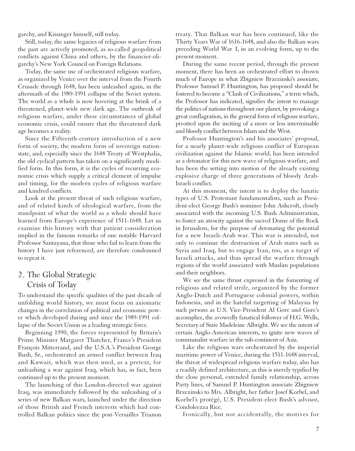garchy, and Kissinger himself, still today.

Still, today, the same legacies of religious warfare from the past are actively promoted, as so-called geopolitical conflicts against China and others, by the financier-oligarchy's New York Council on Foreign Relations.

Today, the same use of orchestrated religious warfare, as organized by Venice over the interval from the Fourth Crusade through 1648, has been unleashed again, in the aftermath of the 1989-1991 collapse of the Soviet system. The world as a whole is now hovering at the brink of a threatened, planet-wide new dark age. The outbreak of religious warfare, under these circumstances of global economic crisis, could ensure that the threatened dark age becomes a reality.

Since the Fifteenth-century introduction of a new form of society, the modern form of sovereign nationstate, and, especially since the 1648 Treaty of Westphalia, the old cyclical pattern has taken on a significantly modified form. In this form, it is the cycles of recurring economic crisis which supply a critical element of impulse and timing, for the modern cycles of religious warfare and kindred conflicts.

Look at the present threat of such religious warfare, and of related kinds of ideological warfare, from the standpoint of what the world as a whole should have learned from Europe's experience of 1511-1648. Let us examine this history with that patient consideration implied in the famous remarks of one notable Harvard Professor Santayana, that those who fail to learn from the history I have just referenced, are therefore condemned to repeat it.

#### 2. The Global Strategic Crisis of Today

To understand the specific qualities of the past decade of unfolding world history, we must focus on axiomatic changes in the correlation of political and economic power which developed during and since the 1989-1991 collapse of the Soviet Union as a leading strategic force.

Beginning 1990, the forces represented by Britain's Prime Minister Margaret Thatcher, France's President François Mitterrand, and the U.S.A.'s President George Bush, Sr., orchestrated an armed conflict between Iraq and Kuwait, which was then used, as a pretext, for unleashing a war against Iraq, which has, in fact, been continued up to the present moment.

The launching of this London-directed war against Iraq, was immediately followed by the unleashing of a series of new Balkan wars, launched under the direction of those British and French interests which had controlled Balkan politics since the post-Versailles Trianon treaty. That Balkan war has been continued, like the Thirty Years War of 1616-1648, and also the Balkan wars preceding World War I, in an evolving form, up to the present moment.

During the same recent period, through the present moment, there has been an orchestrated effort to drown much of Europe in what Zbigniew Brzezinski's associate, Professor Samuel P. Huntington, has proposed should be fostered to become a "Clash of Civilizations," a term which, the Professor has indicated, signifies the intent to manage the politics of nations throughout our planet, by provoking a great conflagration, in the general form of religious warfare, pivotted upon the inciting of a more or less interminable and bloody conflict between Islam and the West.

Professor Huntington's and his associates' proposal, for a nearly planet-wide religious conflict of European civilization against the Islamic world, has been intended as a detonator for this new wave of religious warfare, and has been the setting into motion of the already existing explosive charge of three generations of bloody Arab-Israeli conflict.

At this moment, the intent is to deploy the lunatic types of U.S. Protestant fundamentalists, such as President-elect George Bush's nominee John Ashcroft, closely associated with the incoming U.S. Bush Administration, to foster an atrocity against the sacred Dome of the Rock in Jerusalem, for the purpose of detonating the potential for a new Israeli-Arab war. This war is intended, not only to continue the destruction of Arab states such as Syria and Iraq, but to engage Iran, too, as a target of Israeli attacks, and thus spread the warfare through regions of the world associated with Muslim populations and their neighbors.

We see the same thrust expressed in the fomenting of religious and related strife, organized by the former Anglo-Dutch and Portuguese colonial powers, within Indonesia, and in the hateful targetting of Malaysia by such persons as U.S. Vice-President Al Gore and Gore's accomplice, the avowedly fanatical follower of H.G. Wells, Secretary of State Madeleine Albright. We see the intent of certain Anglo-American interests, to ignite new waves of communalist warfare in the sub-continent of Asia.

Like the religious wars orchestrated by the imperial maritime power of Venice, during the 1511-1648 interval, the threat of widespread religious warfare today, also has a readily defined architecture, as this is merely typified by the close personal, extended family relationship, across Party lines, of Samuel P. Huntington associate Zbigniew Brzezinski to Mrs. Albright, her father Josef Korbel, and Korbel's protégé, U.S. President-elect Bush's advisor, Condoleezza Rice.

Ironically, but not accidentally, the motives for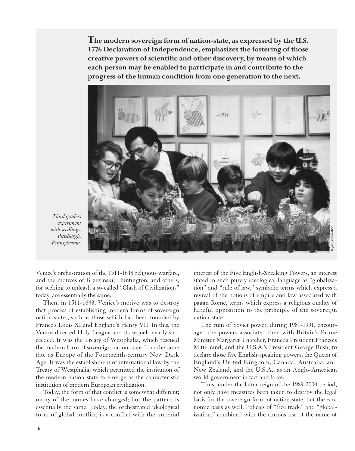**The modern sovereign form of nation-state, as expressed by the U.S. 1776 Declaration of Independence, emphasizes the fostering of those creative powers of scientific and other discovery, by means of which each person may be enabled to participate in and contribute to the progress of the human condition from one generation to the next.** 



*Third graders experiment with seedlings, Pittsburgh, Pennsylvania.*

Venice's orchestration of the 1511-1648 religious warfare, and the motives of Brzezinski, Huntington, and others, for seeking to unleash a so-called "Clash of Civilizations" today, are essentially the same.

Then, in 1511-1648, Venice's motive was to destroy that process of establishing modern forms of sovereign nation-states, such as those which had been founded by France's Louis XI and England's Henry VII. In this, the Venice-directed Holy League and its sequels nearly succeeded. It was the Treaty of Westphalia, which rescued the modern form of sovereign nation-state from the same fate as Europe of the Fourteenth-century New Dark Age. It was the establishment of international law by the Treaty of Westphalia, which permitted the institution of the modern nation-state to emerge as the characteristic institution of modern European civilization.

Today, the form of that conflict is somewhat different; many of the names have changed; but the pattern is essentially the same. Today, the orchestrated ideological form of global conflict, is a conflict with the imperial

interest of the Five English-Speaking Powers, an interest stated in such purely ideological language as "globalization" and "rule of law," symbolic terms which express a revival of the notions of empire and law associated with pagan Rome, terms which express a religious quality of hateful opposition to the principle of the sovereign nation-state.

The ruin of Soviet power, during 1989-1991, encouraged the powers associated then with Britain's Prime Minister Margaret Thatcher, France's President François Mitterrand, and the U.S.A.'s President George Bush, to declare those five English-speaking powers, the Queen of England's United Kingdom, Canada, Australia, and New Zealand, and the U.S.A., as an Anglo-American world-government in fact and force.

Thus, under the latter reign of the 1989-2000 period, not only have measures been taken to destroy the legal basis for the sovereign form of nation-state, but the economic basis as well. Policies of "free trade" and "globalization," combined with the curious use of the name of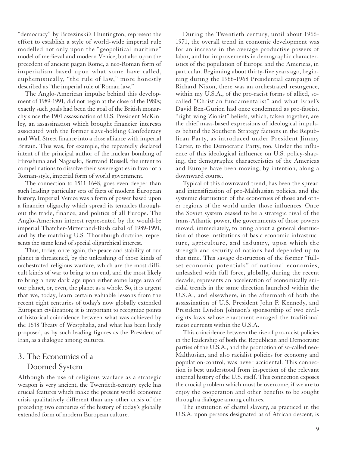"democracy" by Brzezinski's Huntington, represent the effort to establish a style of world-wide imperial rule modelled not only upon the "geopolitical maritime" model of medieval and modern Venice, but also upon the precedent of ancient pagan Rome, a neo-Roman form of imperialism based upon what some have called, euphemistically, "the rule of law," more honestly described as "the imperial rule of Roman law."

The Anglo-American impulse behind this development of 1989-1991, did not begin at the close of the 1980s; exactly such goals had been the goal of the British monarchy since the 1901 assassination of U.S. President McKinley, an assassination which brought financier interests associated with the former slave-holding Confederacy and Wall Street finance into a close alliance with imperial Britain. This was, for example, the repeatedly declared intent of the principal author of the nuclear bombing of Hiroshima and Nagasaki, Bertrand Russell, the intent to compel nations to dissolve their sovereignties in favor of a Roman-style, imperial form of world government.

The connection to 1511-1648, goes even deeper than such leading particular sets of facts of modern European history. Imperial Venice was a form of power based upon a financier oligarchy which spread its tentacles throughout the trade, finance, and politics of all Europe. The Anglo-American interest represented by the would-be imperial Thatcher-Mitterrand-Bush cabal of 1989-1991, and by the matching U.S. Thornburgh doctrine, represents the same kind of special oligarchical interest.

Thus, today, once again, the peace and stability of our planet is threatened, by the unleashing of those kinds of orchestrated religious warfare, which are the most difficult kinds of war to bring to an end, and the most likely to bring a new dark age upon either some large area of our planet, or, even, the planet as a whole. So, it is urgent that we, today, learn certain valuable lessons from the recent eight centuries of today's now globally extended European civilization; it is important to recognize points of historical coincidence between what was achieved by the 1648 Treaty of Westphalia, and what has been lately proposed, as by such leading figures as the President of Iran, as a dialogue among cultures.

### 3. The Economics of a Doomed System

Although the use of religious warfare as a strategic weapon is very ancient, the Twentieth-century cycle has crucial features which make the present world economic crisis qualitatively different than any other crisis of the preceding two centuries of the history of today's globally extended form of modern European culture.

During the Twentieth century, until about 1966- 1971, the overall trend in economic development was for an increase in the average productive powers of labor, and for improvements in demographic characteristics of the population of Europe and the Americas, in particular. Beginning about thirty-five years ago, beginning during the 1966-1968 Presidential campaign of Richard Nixon, there was an orchestrated resurgence, within my U.S.A., of the pro-racist forms of allied, socalled "Christian fundamentalist" and what Israel's David Ben-Gurion had once condemned as pro-fascist, "right-wing Zionist" beliefs, which, taken together, are the chief mass-based expressions of ideological impulses behind the Southern Strategy factions in the Republican Party, as introduced under President Jimmy Carter, to the Democratic Party, too. Under the influence of this ideological influence on U.S. policy-shaping, the demographic characteristics of the Americas and Europe have been moving, by intention, along a downward course.

Typical of this downward trend, has been the spread and intensification of pro-Malthusian policies, and the systemic destruction of the economies of those and other regions of the world under those influences. Once the Soviet system ceased to be a strategic rival of the trans-Atlantic power, the governments of those powers moved, immediately, to bring about a general destruction of those institutions of basic-economic infrastructure, agriculture, and industry, upon which the strength and security of nations had depended up to that time. This savage destruction of the former "fullset economic potentials" of national economies, unleashed with full force, globally, during the recent decade, represents an acceleration of economically suicidal trends in the same direction launched within the U.S.A., and elsewhere, in the aftermath of both the assassination of U.S. President John F. Kennedy, and President Lyndon Johnson's sponsorship of two civilrights laws whose enactment enraged the traditional racist currents within the U.S.A.

This coincidence between the rise of pro-racist policies in the leadership of both the Republican and Democratic parties of the U.S.A., and the promotion of so-called neo-Malthusian, and also racialist policies for economy and population-control, was never accidental. This connection is best understood from inspection of the relevant internal history of the U.S. itself. This connection exposes the crucial problem which must be overcome, if we are to enjoy the cooperation and other benefits to be sought through a dialogue among cultures.

The institution of chattel slavery, as practiced in the U.S.A. upon persons designated as of African descent, is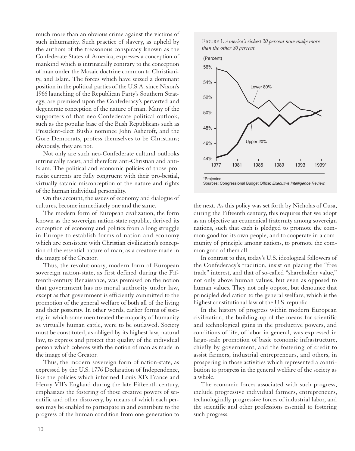much more than an obvious crime against the victims of such inhumanity. Such practice of slavery, as upheld by the authors of the treasonous conspiracy known as the Confederate States of America, expresses a conception of mankind which is intrinsically contrary to the conception of man under the Mosaic doctrine common to Christianity, and Islam. The forces which have seized a dominant position in the political parties of the U.S.A. since Nixon's 1966 launching of the Republican Party's Southern Strategy, are premised upon the Confederacy's perverted and degenerate conception of the nature of man. Many of the supporters of that neo-Confederate political outlook, such as the popular base of the Bush Republicans such as President-elect Bush's nominee John Ashcroft, and the Gore Democrats, profess themselves to be Christians; obviously, they are not.

Not only are such neo-Confederate cultural outlooks intrinsically racist, and therefore anti-Christian and anti-Islam. The political and economic policies of those proracist currents are fully congruent with their pro-bestial, virtually satanic misconception of the nature and rights of the human individual personality.

On this account, the issues of economy and dialogue of cultures, become immediately one and the same.

The modern form of European civilization, the form known as the sovereign nation-state republic, derived its conception of economy and politics from a long struggle in Europe to establish forms of nation and economy which are consistent with Christian civilization's conception of the essential nature of man, as a creature made in the image of the Creator.

Thus, the revolutionary, modern form of European sovereign nation-state, as first defined during the Fifteenth-century Renaissance, was premised on the notion that government has no moral authority under law, except as that government is efficiently committed to the promotion of the general welfare of both all of the living and their posterity. In other words, earlier forms of society, in which some men treated the majority of humanity as virtually human cattle, were to be outlawed. Society must be constituted, as obliged by its highest law, natural law, to express and protect that quality of the individual person which coheres with the notion of man as made in the image of the Creator.

Thus, the modern sovereign form of nation-state, as expressed by the U.S. 1776 Declaration of Independence, like the policies which informed Louis XI's France and Henry VII's England during the late Fifteenth century, emphasizes the fostering of those creative powers of scientific and other discovery, by means of which each person may be enabled to participate in and contribute to the progress of the human condition from one generation to





the next. As this policy was set forth by Nicholas of Cusa, during the Fifteenth century, this requires that we adopt as an objective an ecumenical fraternity among sovereign nations, such that each is pledged to promote the common good for its own people, and to cooperate in a community of principle among nations, to promote the common good of them all.

In contrast to this, today's U.S. ideological followers of the Confederacy's tradition, insist on placing the "free trade" interest, and that of so-called "shareholder value," not only above human values, but even as opposed to human values. They not only oppose, but denounce that principled dedication to the general welfare, which is the highest constitutional law of the U.S. republic.

In the history of progress within modern European civilization, the building-up of the means for scientific and technological gains in the productive powers, and conditions of life, of labor in general, was expressed in large-scale promotion of basic economic infrastructure, chiefly by government, and the fostering of credit to assist farmers, industrial entrepreneurs, and others, in prospering in those activities which represented a contribution to progress in the general welfare of the society as a whole.

The economic forces associated with such progress, include progressive individual farmers, entrepreneurs, technologically progressive forces of industrial labor, and the scientific and other professions essential to fostering such progress.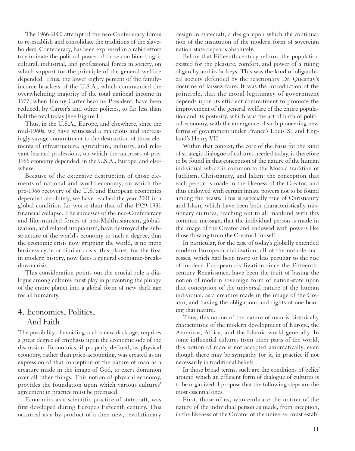The 1966-2000 attempt of the neo-Confederacy forces to re-establish and consolidate the traditions of the slaveholders' Confederacy, has been expressed in a rabid effort to eliminate the political power of those combined, agricultural, industrial, and professional forces in society, on which support for the principle of the general welfare depended. Thus, the lower eighty percent of the familyincome brackets of the U.S.A., which commanded the overwhelming majority of the total national income in 1977, when Jimmy Carter become President, have been reduced, by Carter's and other policies, to far less than half the total today [SEE Figure 1].

Thus, in the U.S.A., Europe, and elsewhere, since the mid-1960s, we have witnessed a malicious and increasingly savage commitment to the destruction of those elements of infrastructure, agriculture, industry, and relevant learned professions, on which the successes of pre-1966 economy depended, in the U.S.A., Europe, and elsewhere.

Because of the extensive destruction of those elements of national and world economy, on which the pre-1966 recovery of the U.S. and European economies depended absolutely, we have reached the year 2001 in a global condition far worse than that of the 1929-1931 financial collapse. The successes of the neo-Confederacy and like-minded forces of neo-Malthusianism, globalization, and related utopianism, have destroyed the substructure of the world's economy to such a degree, that the economic crisis now gripping the world, is no mere business-cycle or similar crisis; this planet, for the first in modern history, now faces a general economic-breakdown crisis.

This consideration points out the crucial role a dialogue among cultures must play in preventing the plunge of the entire planet into a global form of new dark age for all humanity.

#### 4. Economics, Politics, And Faith

The possibility of avoiding such a new dark age, requires a great degree of emphasis upon the economic side of the discussion. Economics, if properly defined, as physical economy, rather than price-accounting, was created as an expression of that conception of the nature of man as a creature made in the image of God, to exert dominion over all other things. This notion of physical economy, provides the foundation upon which various cultures' agreement in practice must be premised.

Economics as a scientific practice of statecraft, was first developed during Europe's Fifteenth century. This occurred as a by-product of a then new, revolutionary

design in statecraft, a design upon which the continuation of the institution of the modern form of sovereign nation-state depends absolutely.

Before that Fifteenth-century reform, the population existed for the pleasure, comfort, and power of a ruling oligarchy and its lackeys. This was the kind of oligarchical society defended by the reactionary Dr. Quesnay's doctrine of laissez-faire. It was the introduction of the principle, that the moral legitimacy of government depends upon its efficient commitment to promote the improvement of the general welfare of the entire population and its posterity, which was the act of birth of political-economy, with the emergence of such pioneering new forms of government under France's Louis XI and England's Henry VII.

Within that context, the core of the basis for the kind of strategic dialogue of cultures needed today, is therefore to be found in that conception of the nature of the human individual which is common to the Mosaic tradition of Judaism, Christianity, and Islam: the conception that each person is made in the likeness of the Creator, and thus endowed with certain innate powers not to be found among the beasts. This is especially true of Christianity and Islam, which have been both characteristically missionary cultures, reaching out to all mankind with this common message, that the individual person is made in the image of the Creator and endowed with powers like those flowing from the Creator Himself.

In particular, for the case of today's globally extended modern European civilization, all of the notable successes, which had been more or less peculiar to the rise of modern European civilization since the Fifteenthcentury Renaissance, have been the fruit of basing the notion of modern sovereign form of nation-state upon that conception of the universal nature of the human individual, as a creature made in the image of the Creator, and having the obligations and rights of one bearing that nature.

Thus, this notion of the nature of man is historically characteristic of the modern development of Europe, the Americas, Africa, and the Islamic world generally. In some influential cultures from other parts of the world, this notion of man is not accepted axiomatically, even though there may be sympathy for it, in practice if not necessarily in traditional beliefs.

In those broad terms, such are the conditions of belief around which an efficient form of dialogue of cultures is to be organized. I propose that the following steps are the most essential ones.

First, those of us, who embrace the notion of the nature of the individual person as made, from inception, in the likeness of the Creator of the universe, must estab-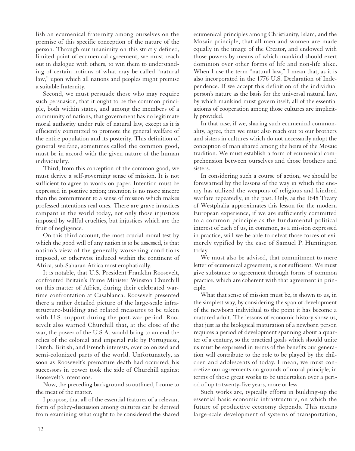lish an ecumenical fraternity among ourselves on the premise of this specific conception of the nature of the person. Through our unanimity on this strictly defined, limited point of ecumenical agreement, we must reach out in dialogue with others, to win them to understanding of certain notions of what may be called "natural law," upon which all nations and peoples might premise a suitable fraternity.

Second, we must persuade those who may require such persuasion, that it ought to be the common principle, both within states, and among the members of a community of nations, that government has no legitimate moral authority under rule of natural law, except as it is efficiently committed to promote the general welfare of the entire population and its posterity. This definition of general welfare, sometimes called the common good, must be in accord with the given nature of the human individuality.

Third, from this conception of the common good, we must derive a self-governing sense of mission. It is not sufficient to agree to words on paper. Intention must be expressed in positive action; intention is no more sincere than the commitment to a sense of mission which makes professed intentions real ones. There are grave injustices rampant in the world today, not only those injustices imposed by willful cruelties, but injustices which are the fruit of negligence.

On this third account, the most crucial moral test by which the good will of any nation is to be assessed, is that nation's view of the generally worsening conditions imposed, or otherwise induced within the continent of Africa, sub-Saharan Africa most emphatically.

It is notable, that U.S. President Franklin Roosevelt, confronted Britain's Prime Minister Winston Churchill on this matter of Africa, during their celebrated wartime confrontation at Casablanca. Roosevelt presented there a rather detailed picture of the large-scale infrastructure-building and related measures to be taken with U.S. support during the post-war period. Roosevelt also warned Churchill that, at the close of the war, the power of the U.S.A. would bring to an end the relics of the colonial and imperial rule by Portuguese, Dutch, British, and French interests, over colonized and semi-colonized parts of the world. Unfortunately, as soon as Roosevelt's premature death had occurred, his successors in power took the side of Churchill against Roosevelt's intentions.

Now, the preceding background so outlined, I come to the meat of the matter.

I propose, that all of the essential features of a relevant form of policy-discussion among cultures can be derived from examining what ought to be considered the shared ecumenical principles among Christianity, Islam, and the Mosaic principle, that all men and women are made equally in the image of the Creator, and endowed with those powers by means of which mankind should exert dominion over other forms of life and non-life alike. When I use the term "natural law," I mean that, as it is also incorporated in the 1776 U.S. Declaration of Independence. If we accept this definition of the individual person's nature as the basis for the universal natural law, by which mankind must govern itself, all of the essential axioms of cooperation among those cultures are implicitly provided.

In that case, if we, sharing such ecumenical commonality, agree, then we must also reach out to our brothers and sisters in cultures which do not necessarily adopt the conception of man shared among the heirs of the Mosaic tradition. We must establish a form of ecumenical comprehension between ourselves and those brothers and sisters.

In considering such a course of action, we should be forewarned by the lessons of the way in which the enemy has utilized the weapons of religious and kindred warfare repeatedly, in the past. Only, as the 1648 Treaty of Westphalia approximates this lesson for the modern European experience, if we are sufficiently committed to a common principle as the fundamental political interest of each of us, in common, as a mission expressed in practice, will we be able to defeat those forces of evil merely typified by the case of Samuel P. Huntington today.

We must also be advised, that commitment to mere letter of ecumenical agreement, is not sufficient. We must give substance to agreement through forms of common practice, which are coherent with that agreement in principle.

What that sense of mission must be, is shown to us, in the simplest way, by considering the span of development of the newborn individual to the point it has become a matured adult. The lessons of economic history show us, that just as the biological maturation of a newborn person requires a period of development spanning about a quarter of a century, so the practical goals which should unite us must be expressed in terms of the benefits our generation will contribute to the role to be played by the children and adolescents of today. I mean, we must concretize our agreements on grounds of moral principle, in terms of those great works to be undertaken over a period of up to twenty-five years, more or less.

Such works are, typically efforts in building-up the essential basic economic infrastructure, on which the future of productive economy depends. This means large-scale development of systems of transportation,